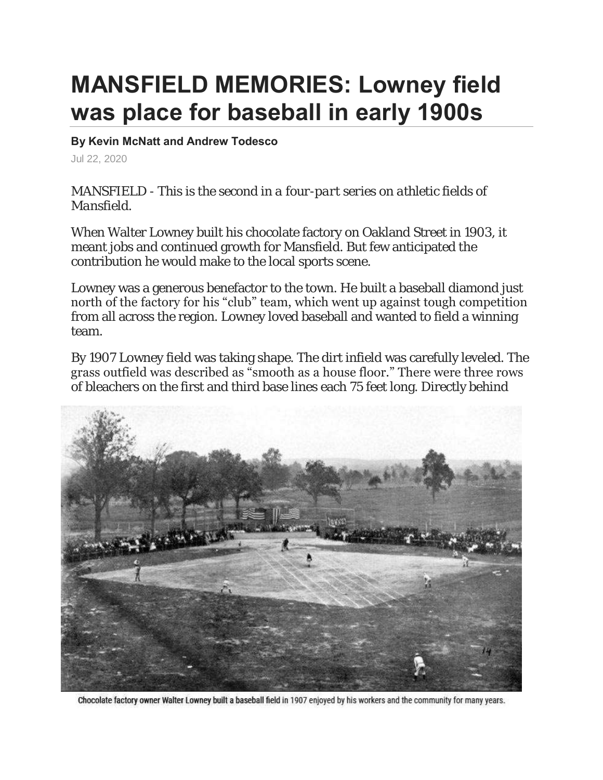## **MANSFIELD MEMORIES: Lowney field was place for baseball in early 1900s**

## **By Kevin McNatt and Andrew Todesco**

Jul 22, 2020

*MANSFIELD - This is the second in a four-part series on athletic fields of Mansfield.*

When Walter Lowney built his chocolate factory on Oakland Street in 1903, it meant jobs and continued growth for Mansfield. But few anticipated the contribution he would make to the local sports scene.

Lowney was a generous benefactor to the town. He built a baseball diamond just north of the factory for his "club" team, which went up against tough competition from all across the region. Lowney loved baseball and wanted to field a winning team.

By 1907 Lowney field was taking shape. The dirt infield was carefully leveled. The grass outfield was described as "smooth as a house floor." There were three rows of bleachers on the first and third base lines each 75 feet long. Directly behind



Chocolate factory owner Walter Lowney built a baseball field in 1907 enjoyed by his workers and the community for many years.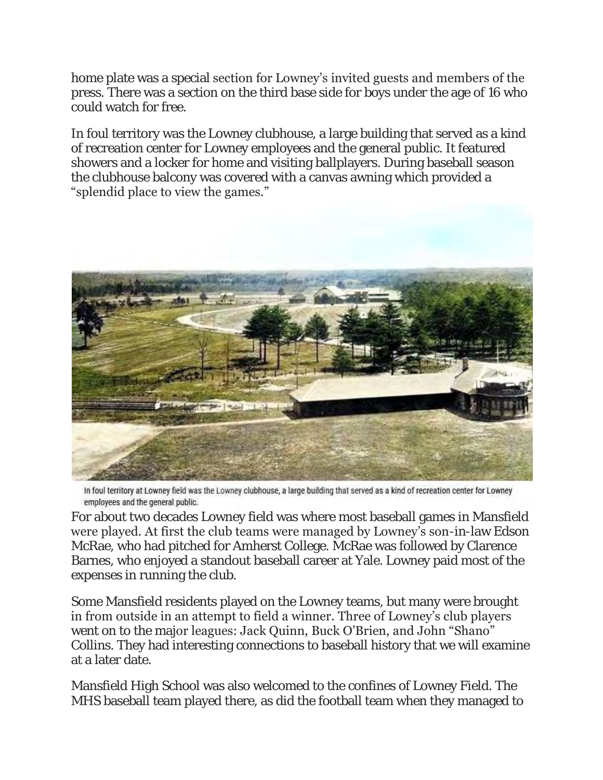home plate was a special section for Lowney's invited guests and members of the press. There was a section on the third base side for boys under the age of 16 who could watch for free.

In foul territory was the Lowney clubhouse, a large building that served as a kind of recreation center for Lowney employees and the general public. It featured showers and a locker for home and visiting ballplayers. During baseball season the clubhouse balcony was covered with a canvas awning which provided a "splendid place to view the games."



In foul territory at Lowney field was the Lowney clubhouse, a large building that served as a kind of recreation center for Lowney employees and the general public.

For about two decades Lowney field was where most baseball games in Mansfield were played. At first the club teams were managed by Lowney's son-in-law Edson McRae, who had pitched for Amherst College. McRae was followed by Clarence Barnes, who enjoyed a standout baseball career at Yale. Lowney paid most of the expenses in running the club.

Some Mansfield residents played on the Lowney teams, but many were brought in from outside in an attempt to field a winner. Three of Lowney's club players went on to the major leagues: Jack Quinn, Buck O'Brien, and John "Shano" Collins. They had interesting connections to baseball history that we will examine at a later date.

Mansfield High School was also welcomed to the confines of Lowney Field. The MHS baseball team played there, as did the football team when they managed to